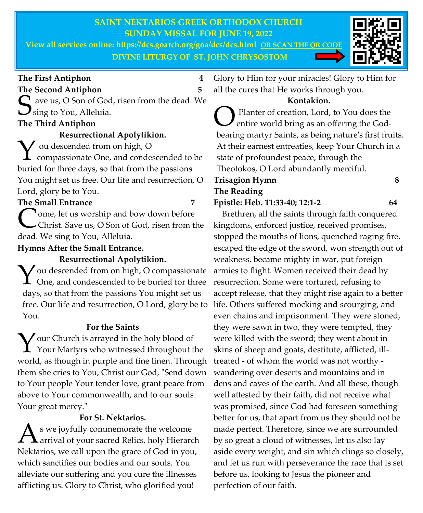## **SAINT NEKTARIOS GREEK ORTHODOX CHURCH SUNDAY MISSAL FOR JUNE 19, 2022**

**View all services online: https://dcs.goarch.org/goa/dcs/dcs.html OR SCAN THE QR CODE DIVINE LITURGY OF ST. JOHN CHRYSOSTOM**



### **The First Antiphon 4**

### **The Second Antiphon 5**

S ave us, O Son of God, risen from the dead. We sing to You, Alleluia.  $\bigcup$  sing to You, Alleluia.

# **The Third Antiphon**

**Resurrectional Apolytikion.** V ou descended from on high, O<br>
compassionate One, and condes compassionate One, and condescended to be buried for three days, so that from the passions You might set us free. Our life and resurrection, O Lord, glory be to You.

## **The Small Entrance 7**

Come, let us worship and b.<br>Christ. Save us, O Son of C<br>dead. We sing to You, Alleluia. **T** ome, let us worship and bow down before Christ. Save us, O Son of God, risen from the

**Hymns After the Small Entrance.** 

**Resurrectional Apolytikion.**  Y ou descended from on high, O compassionate<br>One, and condescended to be buried for three  $\int$  ou descended from on high, O compassionate days, so that from the passions You might set us free. Our life and resurrection, O Lord, glory be to You.

## **For the Saints**

 $\sum$  our Church is arrayed in the holy blood of<br>Your Martyrs who witnessed throughout the model of the state of the state  $\Gamma$ **L** Your Martyrs who witnessed throughout the world, as though in purple and fine linen. Through them she cries to You, Christ our God, "Send down to Your people Your tender love, grant peace from above to Your commonwealth, and to our souls Your great mercy."

## **For St. Nektarios.**

 $\mathbf{A}$ s we joyfully commemorate the welcome<br>arrival of your sacred Relics, holy Hierarch s we joyfully commemorate the welcome Nektarios, we call upon the grace of God in you, which sanctifies our bodies and our souls. You alleviate our suffering and you cure the illnesses afflicting us. Glory to Christ, who glorified you!

Glory to Him for your miracles! Glory to Him for all the cures that He works through you.

## **Kontakion.**

**O**Planter of creation, Lord, to You does the entire world bring as an offering the Godbearing martyr Saints, as being nature's first fruits. At their earnest entreaties, keep Your Church in a state of profoundest peace, through the Theotokos, O Lord abundantly merciful.

### **Trisagion Hymn 8 The Reading Epistle: Heb. 11:33-40; 12:1-2 64**

perfection of our faith.

 Brethren, all the saints through faith conquered kingdoms, enforced justice, received promises, stopped the mouths of lions, quenched raging fire, escaped the edge of the sword, won strength out of weakness, became mighty in war, put foreign armies to flight. Women received their dead by resurrection. Some were tortured, refusing to accept release, that they might rise again to a better life. Others suffered mocking and scourging, and even chains and imprisonment. They were stoned, they were sawn in two, they were tempted, they were killed with the sword; they went about in skins of sheep and goats, destitute, afflicted, illtreated - of whom the world was not worthy wandering over deserts and mountains and in dens and caves of the earth. And all these, though well attested by their faith, did not receive what was promised, since God had foreseen something better for us, that apart from us they should not be made perfect. Therefore, since we are surrounded by so great a cloud of witnesses, let us also lay aside every weight, and sin which clings so closely, and let us run with perseverance the race that is set before us, looking to Jesus the pioneer and